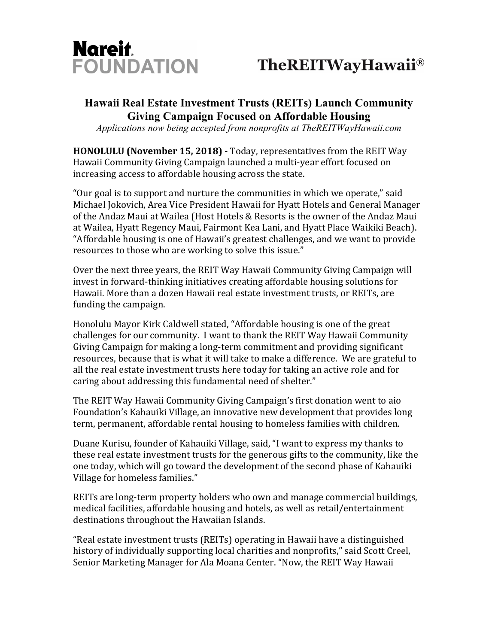

# FOUNDATION TheREITWayHawaii®

## **Hawaii Real Estate Investment Trusts (REITs) Launch Community Giving Campaign Focused on Affordable Housing**

*Applications now being accepted from nonprofits at TheREITWayHawaii.com*

**HONOLULU (November 15, 2018)** - Today, representatives from the REIT Way Hawaii Community Giving Campaign launched a multi-year effort focused on increasing access to affordable housing across the state.

"Our goal is to support and nurture the communities in which we operate," said Michael Jokovich, Area Vice President Hawaii for Hyatt Hotels and General Manager of the Andaz Maui at Wailea (Host Hotels & Resorts is the owner of the Andaz Maui at Wailea, Hyatt Regency Maui, Fairmont Kea Lani, and Hyatt Place Waikiki Beach). "Affordable housing is one of Hawaii's greatest challenges, and we want to provide resources to those who are working to solve this issue."

Over the next three years, the REIT Way Hawaii Community Giving Campaign will invest in forward-thinking initiatives creating affordable housing solutions for Hawaii. More than a dozen Hawaii real estate investment trusts, or REITs, are funding the campaign.

Honolulu Mayor Kirk Caldwell stated, "Affordable housing is one of the great challenges for our community. I want to thank the REIT Way Hawaii Community Giving Campaign for making a long-term commitment and providing significant resources, because that is what it will take to make a difference. We are grateful to all the real estate investment trusts here today for taking an active role and for caring about addressing this fundamental need of shelter."

The REIT Way Hawaii Community Giving Campaign's first donation went to aio Foundation's Kahauiki Village, an innovative new development that provides long term, permanent, affordable rental housing to homeless families with children.

Duane Kurisu, founder of Kahauiki Village, said, "I want to express my thanks to these real estate investment trusts for the generous gifts to the community, like the one today, which will go toward the development of the second phase of Kahauiki Village for homeless families."

REITs are long-term property holders who own and manage commercial buildings, medical facilities, affordable housing and hotels, as well as retail/entertainment destinations throughout the Hawaiian Islands.

"Real estate investment trusts (REITs) operating in Hawaii have a distinguished history of individually supporting local charities and nonprofits," said Scott Creel, Senior Marketing Manager for Ala Moana Center. "Now, the REIT Way Hawaii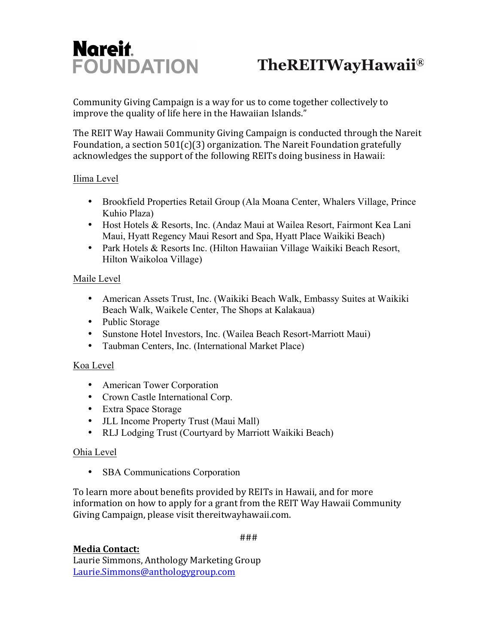# Nareit.

# FOUNDATION TheREITWayHawaii®

Community Giving Campaign is a way for us to come together collectively to improve the quality of life here in the Hawaiian Islands."

The REIT Way Hawaii Community Giving Campaign is conducted through the Nareit Foundation, a section  $501(c)(3)$  organization. The Nareit Foundation gratefully acknowledges the support of the following REITs doing business in Hawaii:

#### Ilima Level

- Brookfield Properties Retail Group (Ala Moana Center, Whalers Village, Prince Kuhio Plaza)
- Host Hotels & Resorts, Inc. (Andaz Maui at Wailea Resort, Fairmont Kea Lani Maui, Hyatt Regency Maui Resort and Spa, Hyatt Place Waikiki Beach)
- Park Hotels & Resorts Inc. (Hilton Hawaiian Village Waikiki Beach Resort, Hilton Waikoloa Village)

## Maile Level

- American Assets Trust, Inc. (Waikiki Beach Walk, Embassy Suites at Waikiki Beach Walk, Waikele Center, The Shops at Kalakaua)
- Public Storage
- Sunstone Hotel Investors, Inc. (Wailea Beach Resort-Marriott Maui)
- Taubman Centers, Inc. (International Market Place)

## Koa Level

- American Tower Corporation
- Crown Castle International Corp.
- Extra Space Storage
- JLL Income Property Trust (Maui Mall)
- RLJ Lodging Trust (Courtyard by Marriott Waikiki Beach)

## Ohia Level

• SBA Communications Corporation

To learn more about benefits provided by REITs in Hawaii, and for more information on how to apply for a grant from the REIT Way Hawaii Community Giving Campaign, please visit thereitwayhawaii.com.

###